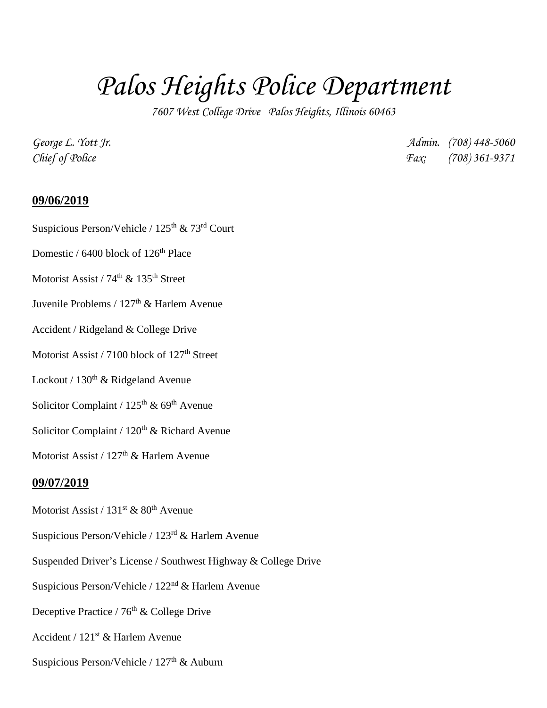## *Palos Heights Police Department*

*7607 West College Drive Palos Heights, Illinois 60463*

*George L. Yott Jr. Admin. (708) 448-5060 Chief of Police Fax: (708) 361-9371*

## **09/06/2019**

- Suspicious Person/Vehicle /  $125<sup>th</sup>$  &  $73<sup>rd</sup>$  Court
- Domestic / 6400 block of 126<sup>th</sup> Place
- Motorist Assist / 74<sup>th</sup> & 135<sup>th</sup> Street
- Juvenile Problems / 127<sup>th</sup> & Harlem Avenue
- Accident / Ridgeland & College Drive
- Motorist Assist / 7100 block of 127<sup>th</sup> Street
- Lockout /  $130<sup>th</sup>$  & Ridgeland Avenue
- Solicitor Complaint /  $125<sup>th</sup>$  & 69<sup>th</sup> Avenue
- Solicitor Complaint /  $120<sup>th</sup>$  & Richard Avenue
- Motorist Assist / 127<sup>th</sup> & Harlem Avenue

## **09/07/2019**

- Motorist Assist /  $131<sup>st</sup>$  &  $80<sup>th</sup>$  Avenue
- Suspicious Person/Vehicle / 123rd & Harlem Avenue
- Suspended Driver's License / Southwest Highway & College Drive
- Suspicious Person/Vehicle / 122<sup>nd</sup> & Harlem Avenue
- Deceptive Practice / 76<sup>th</sup> & College Drive
- Accident /  $121^{st}$  & Harlem Avenue
- Suspicious Person/Vehicle /  $127<sup>th</sup>$  & Auburn